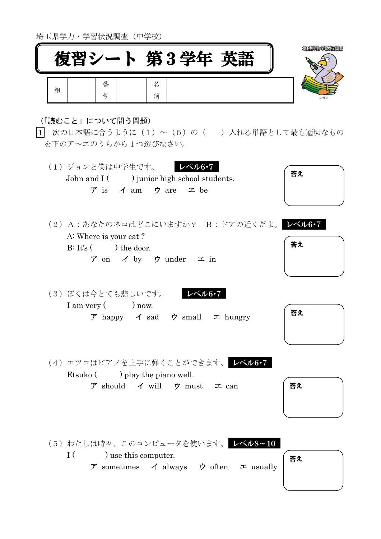埼玉県学力・学習状況調査(中学校)